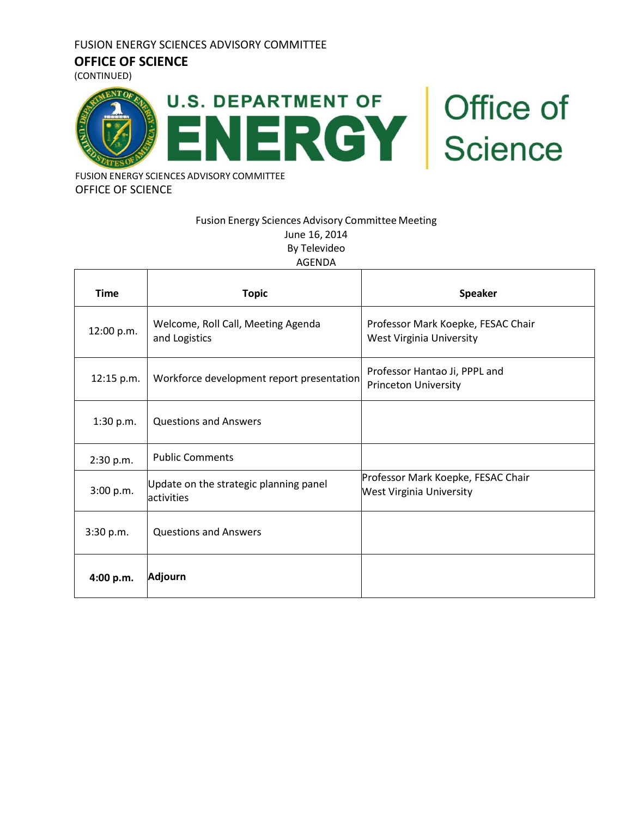#### **OFFICE OF SCIENCE**

(CONTINUED)



FUSION ENERGY SCIENCES ADVISORY COMMITTEE OFFICE OF SCIENCE

#### Fusion Energy Sciences Advisory Committee Meeting June 16, 2014 By Televideo AGENDA

| <b>Time</b> | <b>Topic</b>                                         | <b>Speaker</b>                                                        |  |
|-------------|------------------------------------------------------|-----------------------------------------------------------------------|--|
| 12:00 p.m.  | Welcome, Roll Call, Meeting Agenda<br>and Logistics  | Professor Mark Koepke, FESAC Chair<br>West Virginia University        |  |
| 12:15 p.m.  | Workforce development report presentation            | Professor Hantao Ji, PPPL and<br><b>Princeton University</b>          |  |
| 1:30 p.m.   | <b>Questions and Answers</b>                         |                                                                       |  |
| 2:30 p.m.   | <b>Public Comments</b>                               |                                                                       |  |
| 3:00 p.m.   | Update on the strategic planning panel<br>activities | Professor Mark Koepke, FESAC Chair<br><b>West Virginia University</b> |  |
| 3:30 p.m.   | <b>Questions and Answers</b>                         |                                                                       |  |
| 4:00 p.m.   | Adjourn                                              |                                                                       |  |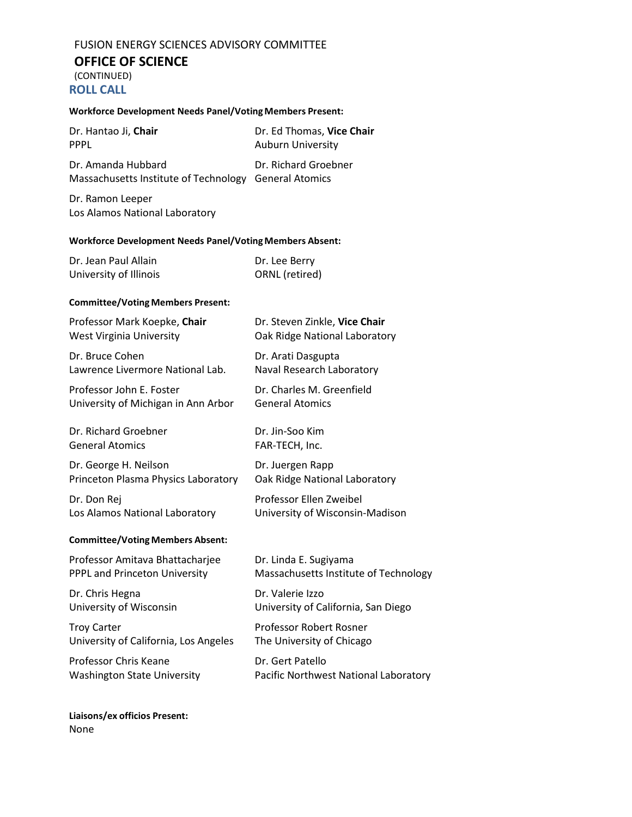## **OFFICE OF SCIENCE**

(CONTINUED) **ROLL CALL**

| <b>Workforce Development Needs Panel/Voting Members Present:</b> |                                       |  |  |  |
|------------------------------------------------------------------|---------------------------------------|--|--|--|
| Dr. Hantao Ji, Chair                                             | Dr. Ed Thomas, Vice Chair             |  |  |  |
| <b>PPPL</b>                                                      | <b>Auburn University</b>              |  |  |  |
| Dr. Amanda Hubbard                                               | Dr. Richard Groebner                  |  |  |  |
| Massachusetts Institute of Technology                            | <b>General Atomics</b>                |  |  |  |
| Dr. Ramon Leeper<br>Los Alamos National Laboratory               |                                       |  |  |  |
| <b>Workforce Development Needs Panel/Voting Members Absent:</b>  |                                       |  |  |  |
| Dr. Jean Paul Allain                                             | Dr. Lee Berry                         |  |  |  |
| University of Illinois                                           | ORNL (retired)                        |  |  |  |
| <b>Committee/Voting Members Present:</b>                         |                                       |  |  |  |
| Professor Mark Koepke, Chair                                     | Dr. Steven Zinkle, Vice Chair         |  |  |  |
| <b>West Virginia University</b>                                  | Oak Ridge National Laboratory         |  |  |  |
| Dr. Bruce Cohen                                                  | Dr. Arati Dasgupta                    |  |  |  |
| Lawrence Livermore National Lab.                                 | Naval Research Laboratory             |  |  |  |
| Professor John E. Foster                                         | Dr. Charles M. Greenfield             |  |  |  |
| University of Michigan in Ann Arbor                              | <b>General Atomics</b>                |  |  |  |
| Dr. Richard Groebner                                             | Dr. Jin-Soo Kim                       |  |  |  |
| <b>General Atomics</b>                                           | FAR-TECH, Inc.                        |  |  |  |
| Dr. George H. Neilson                                            | Dr. Juergen Rapp                      |  |  |  |
| Princeton Plasma Physics Laboratory                              | Oak Ridge National Laboratory         |  |  |  |
| Dr. Don Rej                                                      | Professor Ellen Zweibel               |  |  |  |
| Los Alamos National Laboratory                                   | University of Wisconsin-Madison       |  |  |  |
| <b>Committee/Voting Members Absent:</b>                          |                                       |  |  |  |
| Professor Amitava Bhattacharjee                                  | Dr. Linda E. Sugiyama                 |  |  |  |
| <b>PPPL and Princeton University</b>                             | Massachusetts Institute of Technology |  |  |  |
| Dr. Chris Hegna                                                  | Dr. Valerie Izzo                      |  |  |  |
| University of Wisconsin                                          | University of California, San Diego   |  |  |  |
| <b>Troy Carter</b>                                               | Professor Robert Rosner               |  |  |  |
| University of California, Los Angeles                            | The University of Chicago             |  |  |  |
| Professor Chris Keane                                            | Dr. Gert Patello                      |  |  |  |
| <b>Washington State University</b>                               | Pacific Northwest National Laboratory |  |  |  |

**Liaisons/ex officios Present:** None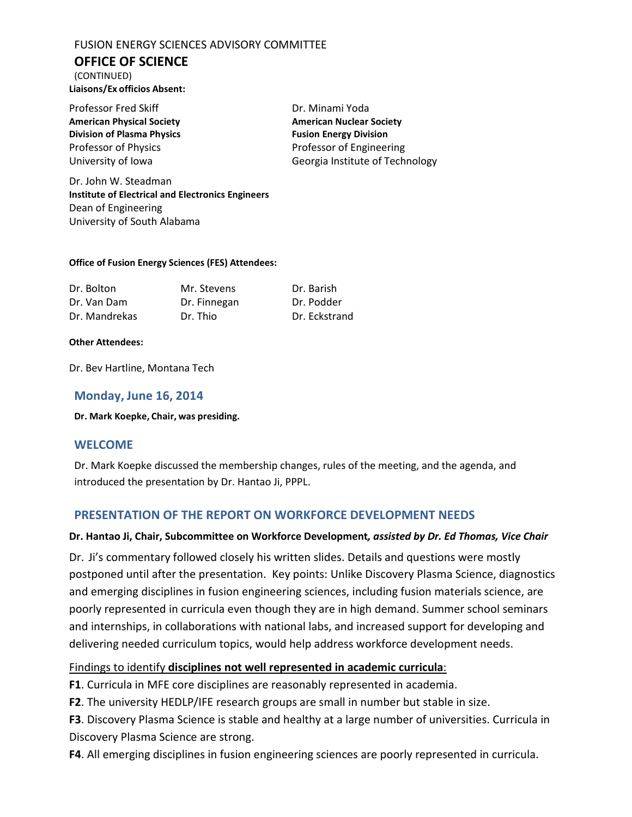## **OFFICE OF SCIENCE**

(CONTINUED) **Liaisons/Ex officios Absent:**

Professor Fred Skiff **Dr. Minami Yoda American Physical Society American Nuclear Society Division of Plasma Physics Fusion Energy Division** 

Professor of Physics **Professor of Engineering** University of Iowa Georgia Institute of Technology

Dr. John W. Steadman **Institute of Electrical and Electronics Engineers** Dean of Engineering University of South Alabama

#### **Office of Fusion Energy Sciences (FES) Attendees:**

| Dr. Bolton    | Mr. Stevens  | Dr. Barish    |
|---------------|--------------|---------------|
| Dr. Van Dam   | Dr. Finnegan | Dr. Podder    |
| Dr. Mandrekas | Dr. Thio     | Dr. Eckstrand |

#### **Other Attendees:**

Dr. Bev Hartline, Montana Tech

## **Monday, June 16, 2014**

**Dr. Mark Koepke, Chair, was presiding.**

## **WELCOME**

Dr. Mark Koepke discussed the membership changes, rules of the meeting, and the agenda, and introduced the presentation by Dr. Hantao Ji, PPPL.

## **PRESENTATION OF THE REPORT ON WORKFORCE DEVELOPMENT NEEDS**

#### **Dr. Hantao Ji, Chair, Subcommittee on Workforce Development***, assisted by Dr. Ed Thomas, Vice Chair*

Dr. Ji's commentary followed closely his written slides. Details and questions were mostly postponed until after the presentation. Key points: Unlike Discovery Plasma Science, diagnostics and emerging disciplines in fusion engineering sciences, including fusion materials science, are poorly represented in curricula even though they are in high demand. Summer school seminars and internships, in collaborations with national labs, and increased support for developing and delivering needed curriculum topics, would help address workforce development needs.

## Findings to identify **disciplines not well represented in academic curricula**:

**F1**. Curricula in MFE core disciplines are reasonably represented in academia.

**F2**. The university HEDLP/IFE research groups are small in number but stable in size.

**F3**. Discovery Plasma Science is stable and healthy at a large number of universities. Curricula in Discovery Plasma Science are strong.

**F4**. All emerging disciplines in fusion engineering sciences are poorly represented in curricula.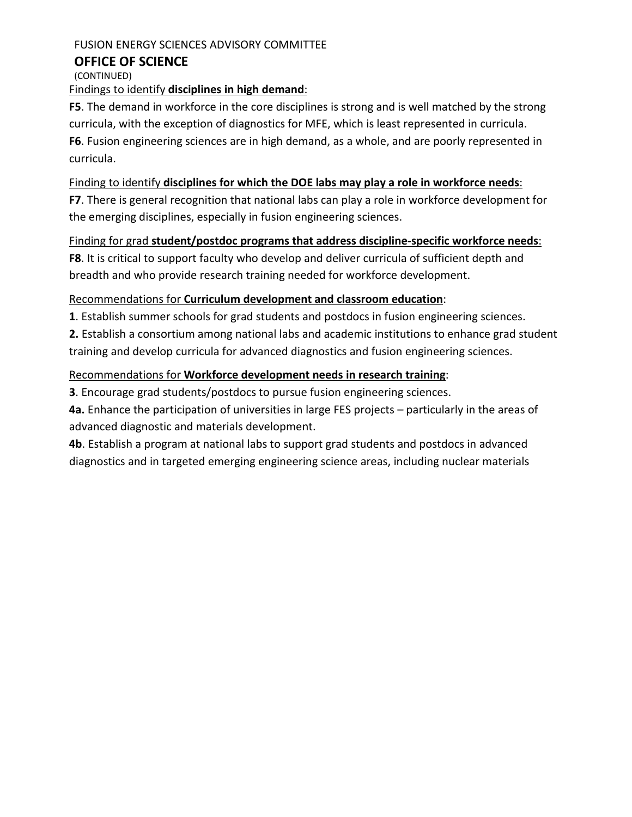#### **OFFICE OF SCIENCE**

(CONTINUED) Findings to identify **disciplines in high demand**:

**F5**. The demand in workforce in the core disciplines is strong and is well matched by the strong curricula, with the exception of diagnostics for MFE, which is least represented in curricula. **F6**. Fusion engineering sciences are in high demand, as a whole, and are poorly represented in curricula.

## Finding to identify **disciplines for which the DOE labs may play a role in workforce needs**:

**F7**. There is general recognition that national labs can play a role in workforce development for the emerging disciplines, especially in fusion engineering sciences.

Finding for grad **student/postdoc programs that address discipline-specific workforce needs**: **F8**. It is critical to support faculty who develop and deliver curricula of sufficient depth and breadth and who provide research training needed for workforce development.

## Recommendations for **Curriculum development and classroom education**:

**1**. Establish summer schools for grad students and postdocs in fusion engineering sciences.

**2.** Establish a consortium among national labs and academic institutions to enhance grad student training and develop curricula for advanced diagnostics and fusion engineering sciences.

## Recommendations for **Workforce development needs in research training**:

**3**. Encourage grad students/postdocs to pursue fusion engineering sciences.

**4a.** Enhance the participation of universities in large FES projects – particularly in the areas of advanced diagnostic and materials development.

**4b**. Establish a program at national labs to support grad students and postdocs in advanced diagnostics and in targeted emerging engineering science areas, including nuclear materials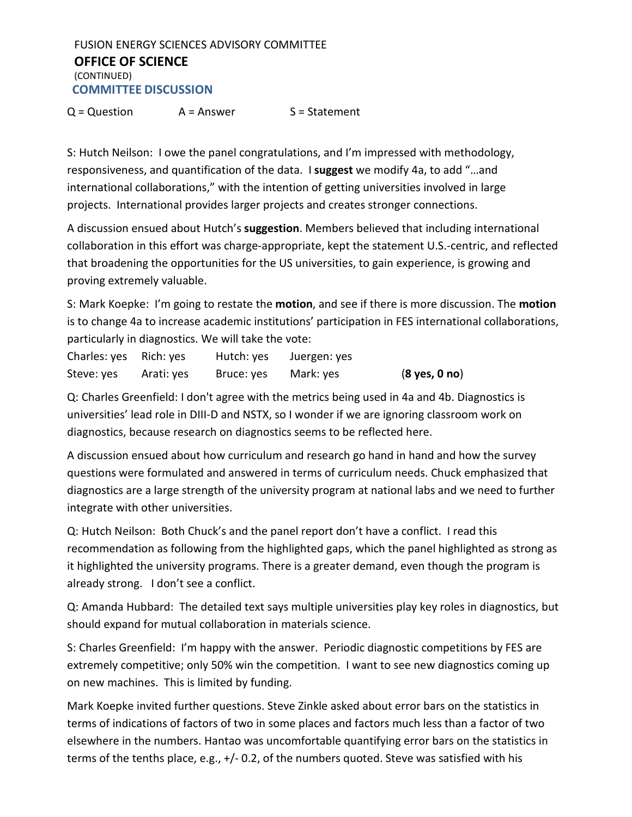FUSION ENERGY SCIENCES ADVISORY COMMITTEE **OFFICE OF SCIENCE** (CONTINUED) **COMMITTEE DISCUSSION**

 $Q = Question$   $A = Answer$   $S = Statement$ 

S: Hutch Neilson: I owe the panel congratulations, and I'm impressed with methodology, responsiveness, and quantification of the data. I **suggest** we modify 4a, to add "…and international collaborations," with the intention of getting universities involved in large projects. International provides larger projects and creates stronger connections.

A discussion ensued about Hutch's **suggestion**. Members believed that including international collaboration in this effort was charge-appropriate, kept the statement U.S.-centric, and reflected that broadening the opportunities for the US universities, to gain experience, is growing and proving extremely valuable.

S: Mark Koepke: I'm going to restate the **motion**, and see if there is more discussion. The **motion** is to change 4a to increase academic institutions' participation in FES international collaborations, particularly in diagnostics. We will take the vote:

| Charles: yes Rich: yes |            | Hutch: yes | Juergen: yes |                                 |
|------------------------|------------|------------|--------------|---------------------------------|
| Steve: yes             | Arati: yes | Bruce: yes | Mark: yes    | $(8 \text{ yes}, 0 \text{ no})$ |

Q: Charles Greenfield: I don't agree with the metrics being used in 4a and 4b. Diagnostics is universities' lead role in DIII-D and NSTX, so I wonder if we are ignoring classroom work on diagnostics, because research on diagnostics seems to be reflected here.

A discussion ensued about how curriculum and research go hand in hand and how the survey questions were formulated and answered in terms of curriculum needs. Chuck emphasized that diagnostics are a large strength of the university program at national labs and we need to further integrate with other universities.

Q: Hutch Neilson: Both Chuck's and the panel report don't have a conflict. I read this recommendation as following from the highlighted gaps, which the panel highlighted as strong as it highlighted the university programs. There is a greater demand, even though the program is already strong. I don't see a conflict.

Q: Amanda Hubbard: The detailed text says multiple universities play key roles in diagnostics, but should expand for mutual collaboration in materials science.

S: Charles Greenfield: I'm happy with the answer. Periodic diagnostic competitions by FES are extremely competitive; only 50% win the competition. I want to see new diagnostics coming up on new machines. This is limited by funding.

Mark Koepke invited further questions. Steve Zinkle asked about error bars on the statistics in terms of indications of factors of two in some places and factors much less than a factor of two elsewhere in the numbers. Hantao was uncomfortable quantifying error bars on the statistics in terms of the tenths place, e.g., +/- 0.2, of the numbers quoted. Steve was satisfied with his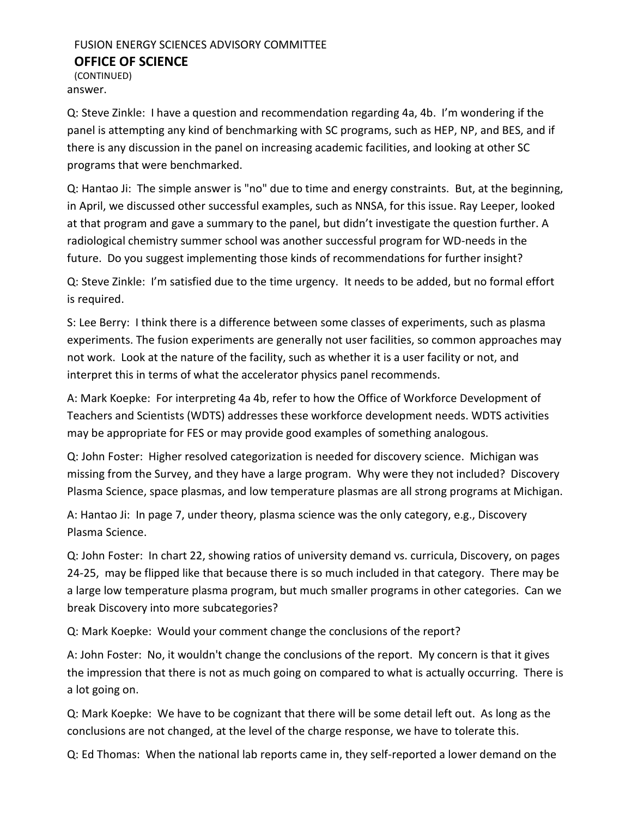(CONTINUED) answer.

Q: Steve Zinkle: I have a question and recommendation regarding 4a, 4b. I'm wondering if the panel is attempting any kind of benchmarking with SC programs, such as HEP, NP, and BES, and if there is any discussion in the panel on increasing academic facilities, and looking at other SC programs that were benchmarked.

Q: Hantao Ji: The simple answer is "no" due to time and energy constraints. But, at the beginning, in April, we discussed other successful examples, such as NNSA, for this issue. Ray Leeper, looked at that program and gave a summary to the panel, but didn't investigate the question further. A radiological chemistry summer school was another successful program for WD-needs in the future. Do you suggest implementing those kinds of recommendations for further insight?

Q: Steve Zinkle: I'm satisfied due to the time urgency. It needs to be added, but no formal effort is required.

S: Lee Berry: I think there is a difference between some classes of experiments, such as plasma experiments. The fusion experiments are generally not user facilities, so common approaches may not work. Look at the nature of the facility, such as whether it is a user facility or not, and interpret this in terms of what the accelerator physics panel recommends.

A: Mark Koepke: For interpreting 4a 4b, refer to how the Office of Workforce Development of Teachers and Scientists (WDTS) addresses these workforce development needs. WDTS activities may be appropriate for FES or may provide good examples of something analogous.

Q: John Foster: Higher resolved categorization is needed for discovery science. Michigan was missing from the Survey, and they have a large program. Why were they not included? Discovery Plasma Science, space plasmas, and low temperature plasmas are all strong programs at Michigan.

A: Hantao Ji: In page 7, under theory, plasma science was the only category, e.g., Discovery Plasma Science.

Q: John Foster: In chart 22, showing ratios of university demand vs. curricula, Discovery, on pages 24-25, may be flipped like that because there is so much included in that category. There may be a large low temperature plasma program, but much smaller programs in other categories. Can we break Discovery into more subcategories?

Q: Mark Koepke: Would your comment change the conclusions of the report?

A: John Foster: No, it wouldn't change the conclusions of the report. My concern is that it gives the impression that there is not as much going on compared to what is actually occurring. There is a lot going on.

Q: Mark Koepke: We have to be cognizant that there will be some detail left out. As long as the conclusions are not changed, at the level of the charge response, we have to tolerate this.

Q: Ed Thomas: When the national lab reports came in, they self-reported a lower demand on the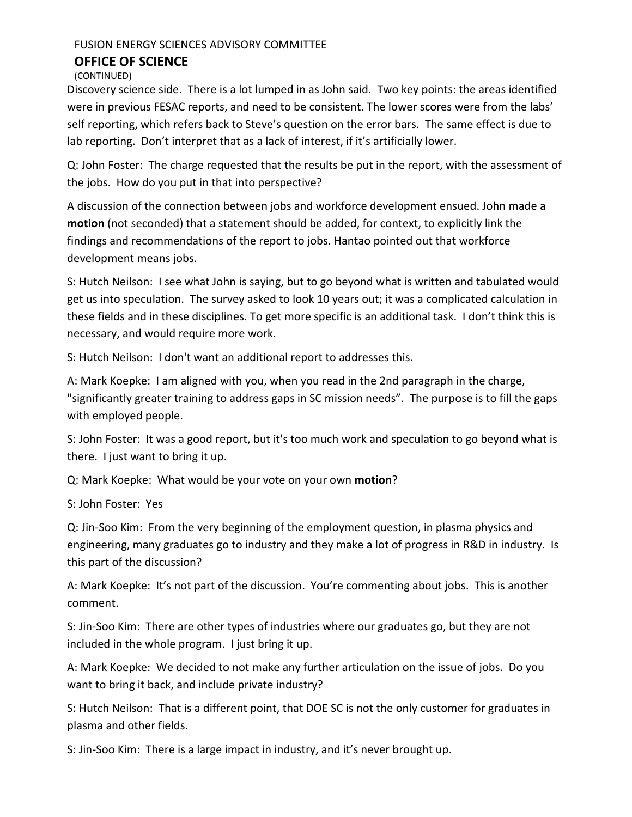## **OFFICE OF SCIENCE**

(CONTINUED)

Discovery science side. There is a lot lumped in as John said. Two key points: the areas identified were in previous FESAC reports, and need to be consistent. The lower scores were from the labs' self reporting, which refers back to Steve's question on the error bars. The same effect is due to lab reporting. Don't interpret that as a lack of interest, if it's artificially lower.

Q: John Foster: The charge requested that the results be put in the report, with the assessment of the jobs. How do you put in that into perspective?

A discussion of the connection between jobs and workforce development ensued. John made a **motion** (not seconded) that a statement should be added, for context, to explicitly link the findings and recommendations of the report to jobs. Hantao pointed out that workforce development means jobs.

S: Hutch Neilson: I see what John is saying, but to go beyond what is written and tabulated would get us into speculation. The survey asked to look 10 years out; it was a complicated calculation in these fields and in these disciplines. To get more specific is an additional task. I don't think this is necessary, and would require more work.

S: Hutch Neilson: I don't want an additional report to addresses this.

A: Mark Koepke: I am aligned with you, when you read in the 2nd paragraph in the charge, "significantly greater training to address gaps in SC mission needs". The purpose is to fill the gaps with employed people.

S: John Foster: It was a good report, but it's too much work and speculation to go beyond what is there. I just want to bring it up.

Q: Mark Koepke: What would be your vote on your own **motion**?

S: John Foster: Yes

Q: Jin-Soo Kim: From the very beginning of the employment question, in plasma physics and engineering, many graduates go to industry and they make a lot of progress in R&D in industry. Is this part of the discussion?

A: Mark Koepke: It's not part of the discussion. You're commenting about jobs. This is another comment.

S: Jin-Soo Kim: There are other types of industries where our graduates go, but they are not included in the whole program. I just bring it up.

A: Mark Koepke: We decided to not make any further articulation on the issue of jobs. Do you want to bring it back, and include private industry?

S: Hutch Neilson: That is a different point, that DOE SC is not the only customer for graduates in plasma and other fields.

S: Jin-Soo Kim: There is a large impact in industry, and it's never brought up.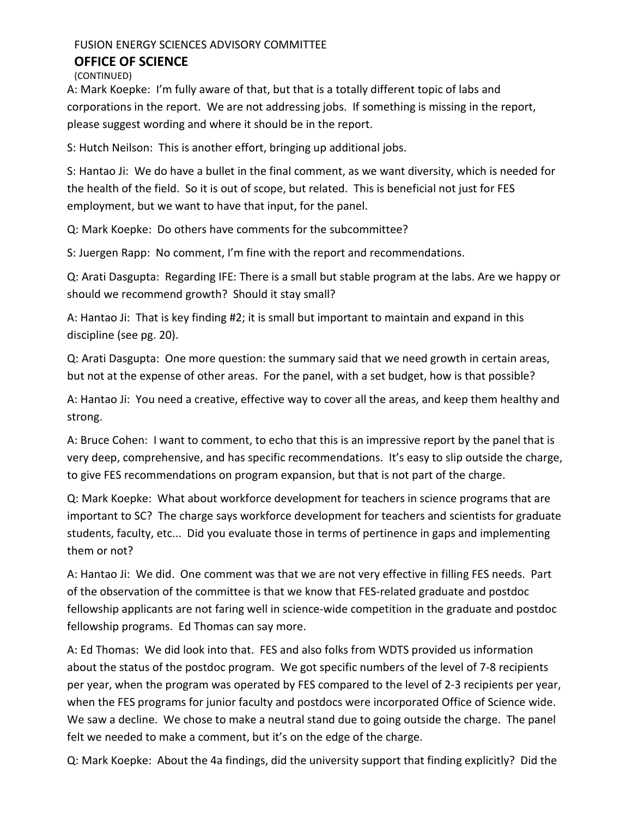(CONTINUED)

A: Mark Koepke: I'm fully aware of that, but that is a totally different topic of labs and corporations in the report. We are not addressing jobs. If something is missing in the report, please suggest wording and where it should be in the report.

S: Hutch Neilson: This is another effort, bringing up additional jobs.

S: Hantao Ji: We do have a bullet in the final comment, as we want diversity, which is needed for the health of the field. So it is out of scope, but related. This is beneficial not just for FES employment, but we want to have that input, for the panel.

Q: Mark Koepke: Do others have comments for the subcommittee?

S: Juergen Rapp: No comment, I'm fine with the report and recommendations.

Q: Arati Dasgupta: Regarding IFE: There is a small but stable program at the labs. Are we happy or should we recommend growth? Should it stay small?

A: Hantao Ji: That is key finding #2; it is small but important to maintain and expand in this discipline (see pg. 20).

Q: Arati Dasgupta: One more question: the summary said that we need growth in certain areas, but not at the expense of other areas. For the panel, with a set budget, how is that possible?

A: Hantao Ji: You need a creative, effective way to cover all the areas, and keep them healthy and strong.

A: Bruce Cohen: I want to comment, to echo that this is an impressive report by the panel that is very deep, comprehensive, and has specific recommendations. It's easy to slip outside the charge, to give FES recommendations on program expansion, but that is not part of the charge.

Q: Mark Koepke: What about workforce development for teachers in science programs that are important to SC? The charge says workforce development for teachers and scientists for graduate students, faculty, etc... Did you evaluate those in terms of pertinence in gaps and implementing them or not?

A: Hantao Ji: We did. One comment was that we are not very effective in filling FES needs. Part of the observation of the committee is that we know that FES-related graduate and postdoc fellowship applicants are not faring well in science-wide competition in the graduate and postdoc fellowship programs. Ed Thomas can say more.

A: Ed Thomas: We did look into that. FES and also folks from WDTS provided us information about the status of the postdoc program. We got specific numbers of the level of 7-8 recipients per year, when the program was operated by FES compared to the level of 2-3 recipients per year, when the FES programs for junior faculty and postdocs were incorporated Office of Science wide. We saw a decline. We chose to make a neutral stand due to going outside the charge. The panel felt we needed to make a comment, but it's on the edge of the charge.

Q: Mark Koepke: About the 4a findings, did the university support that finding explicitly? Did the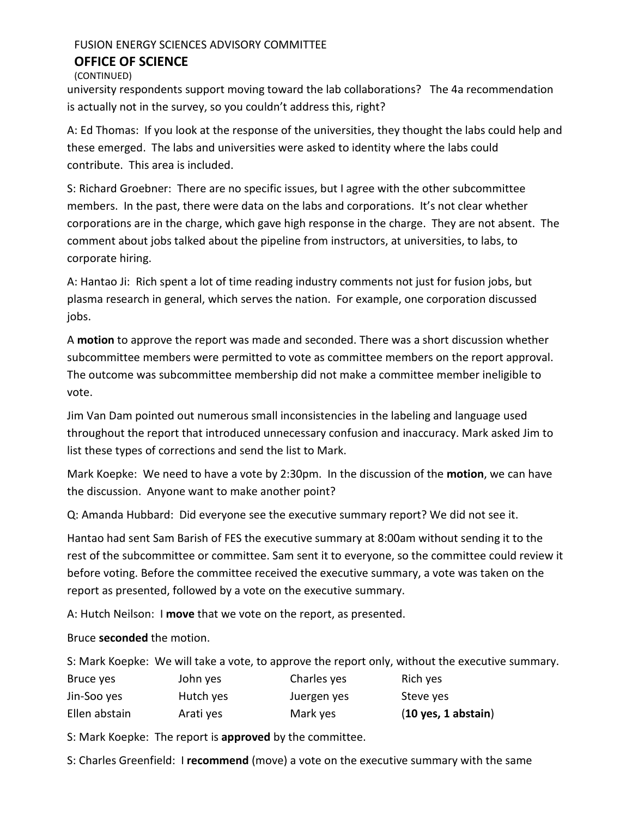(CONTINUED)

university respondents support moving toward the lab collaborations? The 4a recommendation is actually not in the survey, so you couldn't address this, right?

A: Ed Thomas: If you look at the response of the universities, they thought the labs could help and these emerged. The labs and universities were asked to identity where the labs could contribute. This area is included.

S: Richard Groebner: There are no specific issues, but I agree with the other subcommittee members. In the past, there were data on the labs and corporations. It's not clear whether corporations are in the charge, which gave high response in the charge. They are not absent. The comment about jobs talked about the pipeline from instructors, at universities, to labs, to corporate hiring.

A: Hantao Ji: Rich spent a lot of time reading industry comments not just for fusion jobs, but plasma research in general, which serves the nation. For example, one corporation discussed jobs.

A **motion** to approve the report was made and seconded. There was a short discussion whether subcommittee members were permitted to vote as committee members on the report approval. The outcome was subcommittee membership did not make a committee member ineligible to vote.

Jim Van Dam pointed out numerous small inconsistencies in the labeling and language used throughout the report that introduced unnecessary confusion and inaccuracy. Mark asked Jim to list these types of corrections and send the list to Mark.

Mark Koepke: We need to have a vote by 2:30pm. In the discussion of the **motion**, we can have the discussion. Anyone want to make another point?

Q: Amanda Hubbard: Did everyone see the executive summary report? We did not see it.

Hantao had sent Sam Barish of FES the executive summary at 8:00am without sending it to the rest of the subcommittee or committee. Sam sent it to everyone, so the committee could review it before voting. Before the committee received the executive summary, a vote was taken on the report as presented, followed by a vote on the executive summary.

A: Hutch Neilson: I **move** that we vote on the report, as presented.

Bruce **seconded** the motion.

|               |           |             | S: Mark Koepke: We will take a vote, to approve the report only, without the executive summary. |
|---------------|-----------|-------------|-------------------------------------------------------------------------------------------------|
| Bruce yes     | John yes  | Charles yes | Rich yes                                                                                        |
| Jin-Soo yes   | Hutch yes | Juergen yes | Steve yes                                                                                       |
| Ellen abstain | Arati yes | Mark yes    | $(10$ yes, 1 abstain)                                                                           |

S: Mark Koepke: The report is **approved** by the committee.

S: Charles Greenfield: I **recommend** (move) a vote on the executive summary with the same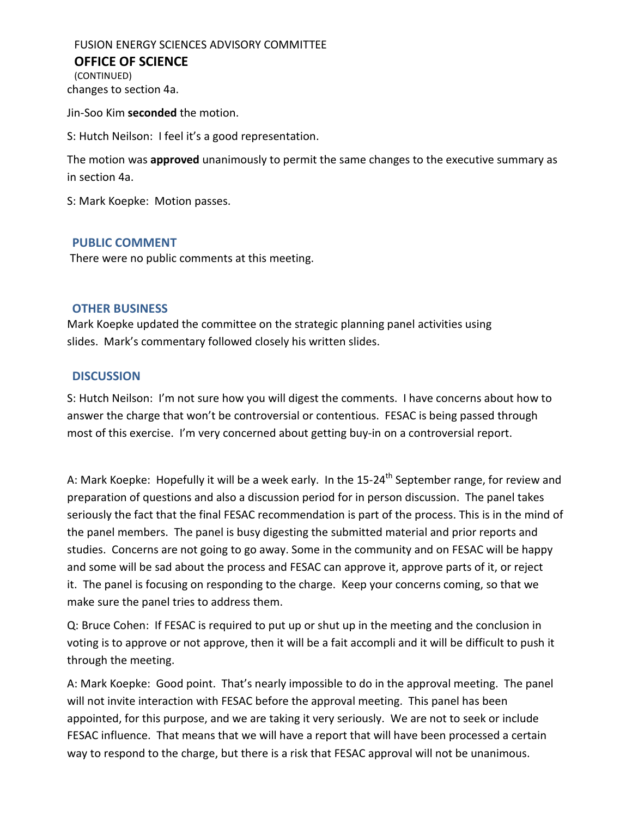FUSION ENERGY SCIENCES ADVISORY COMMITTEE **OFFICE OF SCIENCE** (CONTINUED) changes to section 4a.

Jin-Soo Kim **seconded** the motion.

S: Hutch Neilson: I feel it's a good representation.

The motion was **approved** unanimously to permit the same changes to the executive summary as in section 4a.

S: Mark Koepke: Motion passes.

## **PUBLIC COMMENT**

There were no public comments at this meeting.

## **OTHER BUSINESS**

Mark Koepke updated the committee on the strategic planning panel activities using slides. Mark's commentary followed closely his written slides.

## **DISCUSSION**

S: Hutch Neilson: I'm not sure how you will digest the comments. I have concerns about how to answer the charge that won't be controversial or contentious. FESAC is being passed through most of this exercise. I'm very concerned about getting buy-in on a controversial report.

A: Mark Koepke: Hopefully it will be a week early. In the 15-24<sup>th</sup> September range, for review and preparation of questions and also a discussion period for in person discussion. The panel takes seriously the fact that the final FESAC recommendation is part of the process. This is in the mind of the panel members. The panel is busy digesting the submitted material and prior reports and studies. Concerns are not going to go away. Some in the community and on FESAC will be happy and some will be sad about the process and FESAC can approve it, approve parts of it, or reject it. The panel is focusing on responding to the charge. Keep your concerns coming, so that we make sure the panel tries to address them.

Q: Bruce Cohen: If FESAC is required to put up or shut up in the meeting and the conclusion in voting is to approve or not approve, then it will be a fait accompli and it will be difficult to push it through the meeting.

A: Mark Koepke: Good point. That's nearly impossible to do in the approval meeting. The panel will not invite interaction with FESAC before the approval meeting. This panel has been appointed, for this purpose, and we are taking it very seriously. We are not to seek or include FESAC influence. That means that we will have a report that will have been processed a certain way to respond to the charge, but there is a risk that FESAC approval will not be unanimous.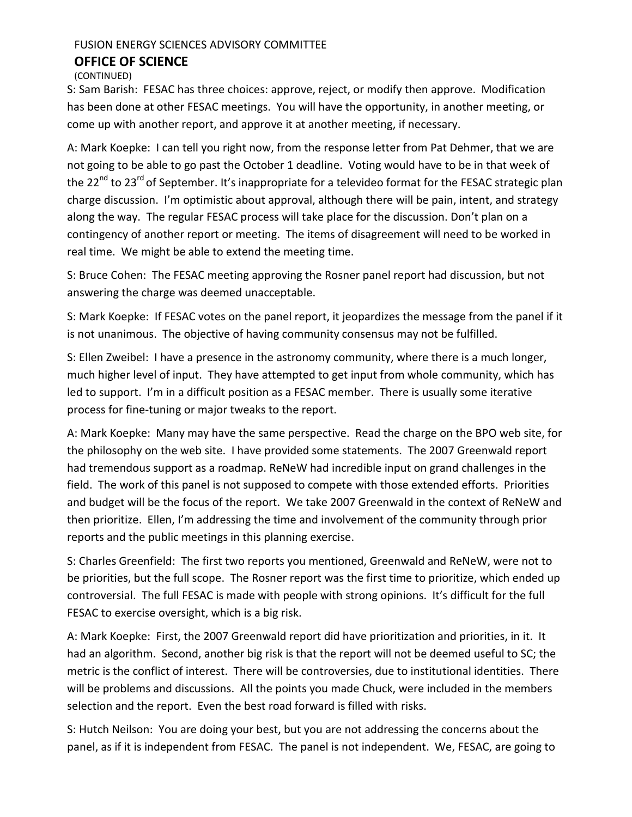(CONTINUED)

S: Sam Barish: FESAC has three choices: approve, reject, or modify then approve. Modification has been done at other FESAC meetings. You will have the opportunity, in another meeting, or come up with another report, and approve it at another meeting, if necessary.

A: Mark Koepke: I can tell you right now, from the response letter from Pat Dehmer, that we are not going to be able to go past the October 1 deadline. Voting would have to be in that week of the 22<sup>nd</sup> to 23<sup>rd</sup> of September. It's inappropriate for a televideo format for the FESAC strategic plan charge discussion. I'm optimistic about approval, although there will be pain, intent, and strategy along the way. The regular FESAC process will take place for the discussion. Don't plan on a contingency of another report or meeting. The items of disagreement will need to be worked in real time. We might be able to extend the meeting time.

S: Bruce Cohen: The FESAC meeting approving the Rosner panel report had discussion, but not answering the charge was deemed unacceptable.

S: Mark Koepke: If FESAC votes on the panel report, it jeopardizes the message from the panel if it is not unanimous. The objective of having community consensus may not be fulfilled.

S: Ellen Zweibel: I have a presence in the astronomy community, where there is a much longer, much higher level of input. They have attempted to get input from whole community, which has led to support. I'm in a difficult position as a FESAC member. There is usually some iterative process for fine-tuning or major tweaks to the report.

A: Mark Koepke: Many may have the same perspective. Read the charge on the BPO web site, for the philosophy on the web site. I have provided some statements. The 2007 Greenwald report had tremendous support as a roadmap. ReNeW had incredible input on grand challenges in the field. The work of this panel is not supposed to compete with those extended efforts. Priorities and budget will be the focus of the report. We take 2007 Greenwald in the context of ReNeW and then prioritize. Ellen, I'm addressing the time and involvement of the community through prior reports and the public meetings in this planning exercise.

S: Charles Greenfield: The first two reports you mentioned, Greenwald and ReNeW, were not to be priorities, but the full scope. The Rosner report was the first time to prioritize, which ended up controversial. The full FESAC is made with people with strong opinions. It's difficult for the full FESAC to exercise oversight, which is a big risk.

A: Mark Koepke: First, the 2007 Greenwald report did have prioritization and priorities, in it. It had an algorithm. Second, another big risk is that the report will not be deemed useful to SC; the metric is the conflict of interest. There will be controversies, due to institutional identities. There will be problems and discussions. All the points you made Chuck, were included in the members selection and the report. Even the best road forward is filled with risks.

S: Hutch Neilson: You are doing your best, but you are not addressing the concerns about the panel, as if it is independent from FESAC. The panel is not independent. We, FESAC, are going to